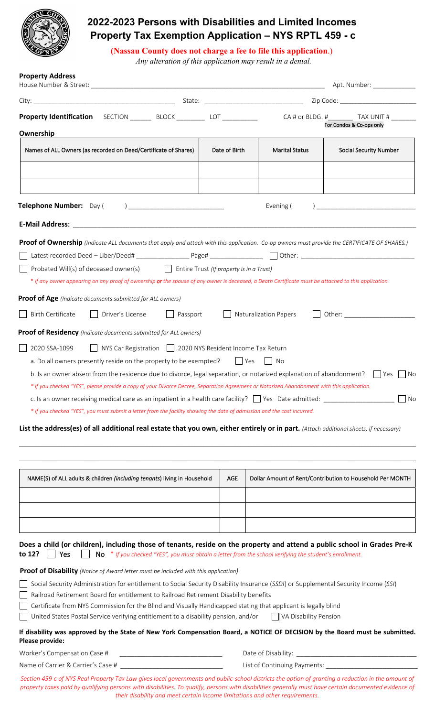

# **2022-2023 Persons with Disabilities and Limited Incomes Property Tax Exemption Application – NYS RPTL 459 - c**

 **(Nassau County does not charge a fee to file this application**.)

 *Any alteration of this application may result in a denial.* 

| City: <u>City: City: City: City: City: City: City: City: City: City: City: City: City: City: City: City: City: City: City: City: City: City: City: City: City: City: City: City: City: City: City: City: City: City: City: City:</u>                                                                                                                                                                                                                                        |               |                       |                                                           |
|-----------------------------------------------------------------------------------------------------------------------------------------------------------------------------------------------------------------------------------------------------------------------------------------------------------------------------------------------------------------------------------------------------------------------------------------------------------------------------|---------------|-----------------------|-----------------------------------------------------------|
| <b>Property Identification</b>                                                                                                                                                                                                                                                                                                                                                                                                                                              |               |                       | CA # or BLDG. # TAX UNIT #<br>For Condos & Co-ops only    |
| Ownership                                                                                                                                                                                                                                                                                                                                                                                                                                                                   |               |                       |                                                           |
| Names of ALL Owners (as recorded on Deed/Certificate of Shares)                                                                                                                                                                                                                                                                                                                                                                                                             | Date of Birth | <b>Marital Status</b> | <b>Social Security Number</b>                             |
|                                                                                                                                                                                                                                                                                                                                                                                                                                                                             |               |                       |                                                           |
|                                                                                                                                                                                                                                                                                                                                                                                                                                                                             |               |                       |                                                           |
|                                                                                                                                                                                                                                                                                                                                                                                                                                                                             |               |                       |                                                           |
|                                                                                                                                                                                                                                                                                                                                                                                                                                                                             |               | Evening (             |                                                           |
|                                                                                                                                                                                                                                                                                                                                                                                                                                                                             |               |                       |                                                           |
| Proof of Ownership (Indicate ALL documents that apply and attach with this application. Co-op owners must provide the CERTIFICATE OF SHARES.)<br>Probated Will(s) of deceased owner(s)<br>$\Box$ Entire Trust (If property is in a Trust)<br>* If any owner appearing on any proof of ownership or the spouse of any owner is deceased, a Death Certificate must be attached to this application.                                                                           |               |                       |                                                           |
| <b>Proof of Age</b> (Indicate documents submitted for ALL owners)                                                                                                                                                                                                                                                                                                                                                                                                           |               |                       |                                                           |
| <b>Birth Certificate</b><br>Driver's License<br>Passport                                                                                                                                                                                                                                                                                                                                                                                                                    |               | Naturalization Papers |                                                           |
|                                                                                                                                                                                                                                                                                                                                                                                                                                                                             |               |                       |                                                           |
| <b>Proof of Residency</b> (Indicate documents submitted for ALL owners)                                                                                                                                                                                                                                                                                                                                                                                                     |               |                       |                                                           |
| * If you checked "YES", please provide a copy of your Divorce Decree, Separation Agreement or Notarized Abandonment with this application.                                                                                                                                                                                                                                                                                                                                  |               |                       |                                                           |
| c. Is an owner receiving medical care as an inpatient in a health care facility? $\Box$ Yes Date admitted:<br>* If you checked "YES", you must submit a letter from the facility showing the date of admission and the cost incurred.                                                                                                                                                                                                                                       |               |                       |                                                           |
|                                                                                                                                                                                                                                                                                                                                                                                                                                                                             |               |                       | $\Box$ No                                                 |
| NAME(S) of ALL adults & children (including tenants) living in Household                                                                                                                                                                                                                                                                                                                                                                                                    | <b>AGE</b>    |                       | Dollar Amount of Rent/Contribution to Household Per MONTH |
|                                                                                                                                                                                                                                                                                                                                                                                                                                                                             |               |                       |                                                           |
| List the address(es) of all additional real estate that you own, either entirely or in part. (Attach additional sheets, if necessary)                                                                                                                                                                                                                                                                                                                                       |               |                       |                                                           |
|                                                                                                                                                                                                                                                                                                                                                                                                                                                                             |               |                       |                                                           |
|                                                                                                                                                                                                                                                                                                                                                                                                                                                                             |               |                       |                                                           |
| No $*$ If you checked "YES", you must obtain a letter from the school verifying the student's enrollment.<br>Yes                                                                                                                                                                                                                                                                                                                                                            |               |                       |                                                           |
|                                                                                                                                                                                                                                                                                                                                                                                                                                                                             |               |                       |                                                           |
| Social Security Administration for entitlement to Social Security Disability Insurance (SSDI) or Supplemental Security Income (SSI)                                                                                                                                                                                                                                                                                                                                         |               |                       |                                                           |
| Railroad Retirement Board for entitlement to Railroad Retirement Disability benefits                                                                                                                                                                                                                                                                                                                                                                                        |               |                       |                                                           |
| Certificate from NYS Commission for the Blind and Visually Handicapped stating that applicant is legally blind                                                                                                                                                                                                                                                                                                                                                              |               |                       |                                                           |
| United States Postal Service verifying entitlement to a disability pension, and/or                                                                                                                                                                                                                                                                                                                                                                                          |               | VA Disability Pension |                                                           |
| Does a child (or children), including those of tenants, reside on the property and attend a public school in Grades Pre-K<br>to 12?<br><b>Proof of Disability</b> (Notice of Award letter must be included with this application)<br>If disability was approved by the State of New York Compensation Board, a NOTICE OF DECISION by the Board must be submitted.<br>Please provide:<br>Worker's Compensation Case #<br><u> 1989 - Johann Barbara, martxa alemaniar arg</u> |               |                       |                                                           |

Section 459-c of NYS Real Property Tax Law gives local governments and public-school districts the option of granting a reduction in the amount of property taxes paid by qualifying persons with disabilities. To qualify, persons with disabilities generally must have certain documented evidence of *their disability and meet certain income limitations and other requirements.*